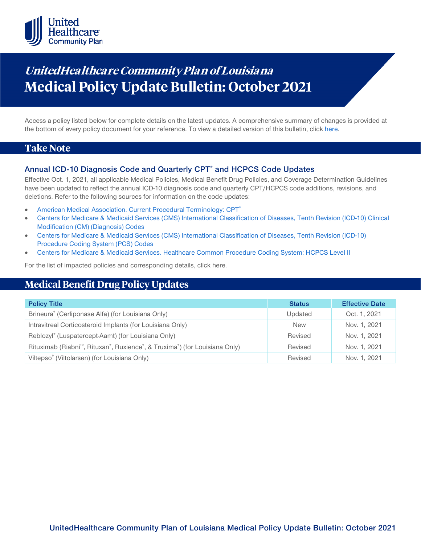

# **UnitedHealthca re Community Plan of Louisiana Medical Policy Update Bulletin: October 2021**

Access a policy listed below for complete details on the latest updates. A comprehensive summary of changes is provided at the bottom of every policy document for your reference. To view a detailed version of this bulletin, clic[k here.](https://www.uhcprovider.com/content/dam/provider/docs/public/policies/mpub-archives/comm-plan/la/community-plan-la-medical-policy-update-bulletin-october-2021-full.pdf)

# **Take Note**

## **Annual ICD-10 Diagnosis Code and Quarterly CPT® and HCPCS Code Updates**

Effective Oct. 1, 2021, all applicable Medical Policies, Medical Benefit Drug Policies, and Coverage Determination Guidelines have been updated to reflect the annual ICD-10 diagnosis code and quarterly CPT/HCPCS code additions, revisions, and deletions. Refer to the following sources for information on the code updates:

- [American Medical Association. Current Procedural Terminology: CPT®](https://www.ama-assn.org/practice-management/cpt)
- [Centers for Medicare & Medicaid Services \(CMS\) International Classification of Diseases, Tenth Revision \(ICD-10\) Clinical](https://www.cms.gov/medicare/icd-10/2021-icd-10-cm)  [Modification \(CM\) \(Diagnosis\) Codes](https://www.cms.gov/medicare/icd-10/2021-icd-10-cm)
- [Centers for Medicare & Medicaid Services \(CMS\) International Classification of Diseases, Tenth Revision \(ICD-10\)](https://www.cms.gov/medicare/icd-10/2021-icd-10-pcs)  [Procedure Coding System \(PCS\) Codes](https://www.cms.gov/medicare/icd-10/2021-icd-10-pcs)
- [Centers for Medicare & Medicaid Services. Healthcare Common Procedure Coding System: HCPCS Level II](https://www.cms.gov/Medicare/Coding/MedHCPCSGenInfo/index.html)

For the list of impacted policies and corresponding details, click here.

# **Medical Benefit Drug Policy Updates**

| <b>Policy Title</b>                                                                                              | <b>Status</b> | <b>Effective Date</b> |
|------------------------------------------------------------------------------------------------------------------|---------------|-----------------------|
| Brineura® (Cerliponase Alfa) (for Louisiana Only)                                                                | Updated       | Oct. 1, 2021          |
| Intravitreal Corticosteroid Implants (for Louisiana Only)                                                        | <b>New</b>    | Nov. 1, 2021          |
| Reblozyl® (Luspatercept-Aamt) (for Louisiana Only)                                                               | Revised       | Nov. 1, 2021          |
| Rituximab (Riabni <sup>m</sup> , Rituxan <sup>®</sup> , Ruxience <sup>®</sup> , & Truxima®) (for Louisiana Only) | Revised       | Nov. 1, 2021          |
| Viltepso® (Viltolarsen) (for Louisiana Only)                                                                     | Revised       | Nov. 1, 2021          |